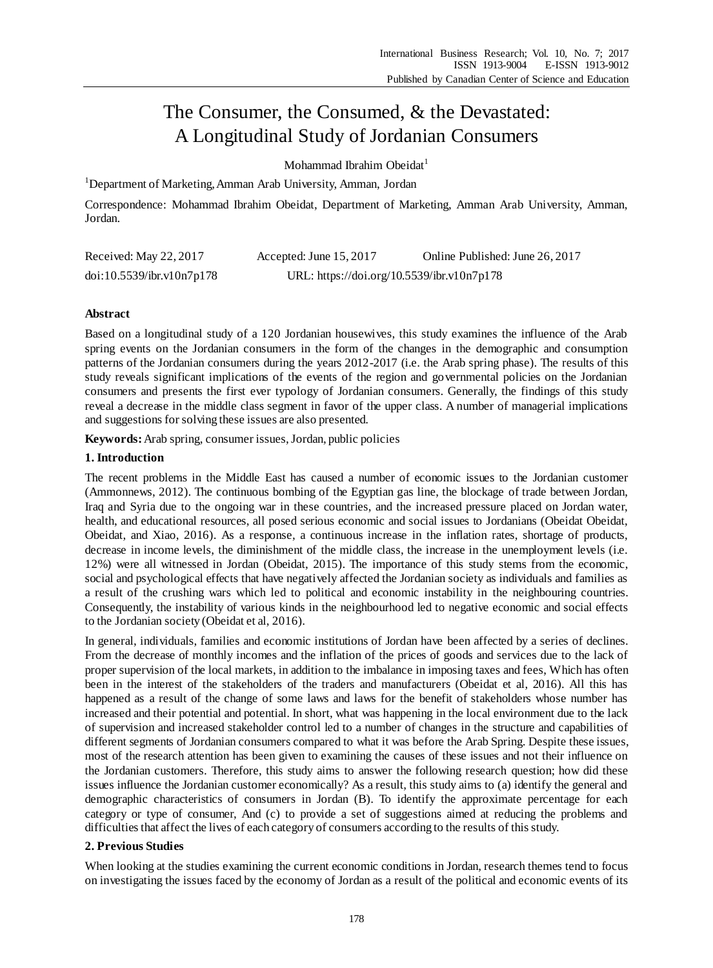# The Consumer, the Consumed, & the Devastated: A Longitudinal Study of Jordanian Consumers

Mohammad Ibrahim Obeidat $<sup>1</sup>$ </sup>

<sup>1</sup>Department of Marketing, Amman Arab University, Amman, Jordan

Correspondence: Mohammad Ibrahim Obeidat, Department of Marketing, Amman Arab University, Amman, Jordan.

| Received: May 22, 2017    | Accepted: June $15,2017$                   | Online Published: June 26, 2017 |
|---------------------------|--------------------------------------------|---------------------------------|
| doi:10.5539/ibr.v10n7p178 | URL: https://doi.org/10.5539/ibr.v10n7p178 |                                 |

# **Abstract**

Based on a longitudinal study of a 120 Jordanian housewives, this study examines the influence of the Arab spring events on the Jordanian consumers in the form of the changes in the demographic and consumption patterns of the Jordanian consumers during the years 2012-2017 (i.e. the Arab spring phase). The results of this study reveals significant implications of the events of the region and governmental policies on the Jordanian consumers and presents the first ever typology of Jordanian consumers. Generally, the findings of this study reveal a decrease in the middle class segment in favor of the upper class. A number of managerial implications and suggestions for solving these issues are also presented.

**Keywords:**Arab spring, consumer issues, Jordan, public policies

# **1. Introduction**

The recent problems in the Middle East has caused a number of economic issues to the Jordanian customer (Ammonnews, 2012). The continuous bombing of the Egyptian gas line, the blockage of trade between Jordan, Iraq and Syria due to the ongoing war in these countries, and the increased pressure placed on Jordan water, health, and educational resources, all posed serious economic and social issues to Jordanians (Obeidat Obeidat, Obeidat, and Xiao, 2016). As a response, a continuous increase in the inflation rates, shortage of products, decrease in income levels, the diminishment of the middle class, the increase in the unemployment levels (i.e. 12%) were all witnessed in Jordan (Obeidat, 2015). The importance of this study stems from the economic, social and psychological effects that have negatively affected the Jordanian society as individuals and families as a result of the crushing wars which led to political and economic instability in the neighbouring countries. Consequently, the instability of various kinds in the neighbourhood led to negative economic and social effects to the Jordanian society (Obeidat et al, 2016).

In general, individuals, families and economic institutions of Jordan have been affected by a series of declines. From the decrease of monthly incomes and the inflation of the prices of goods and services due to the lack of proper supervision of the local markets, in addition to the imbalance in imposing taxes and fees, Which has often been in the interest of the stakeholders of the traders and manufacturers (Obeidat et al, 2016). All this has happened as a result of the change of some laws and laws for the benefit of stakeholders whose number has increased and their potential and potential. In short, what was happening in the local environment due to the lack of supervision and increased stakeholder control led to a number of changes in the structure and capabilities of different segments of Jordanian consumers compared to what it was before the Arab Spring. Despite these issues, most of the research attention has been given to examining the causes of these issues and not their influence on the Jordanian customers. Therefore, this study aims to answer the following research question; how did these issues influence the Jordanian customer economically? As a result, this study aims to (a) identify the general and demographic characteristics of consumers in Jordan (B). To identify the approximate percentage for each category or type of consumer, And (c) to provide a set of suggestions aimed at reducing the problems and difficulties that affect the lives of each category of consumers according to the results of this study.

# **2. Previous Studies**

When looking at the studies examining the current economic conditions in Jordan, research themes tend to focus on investigating the issues faced by the economy of Jordan as a result of the political and economic events of its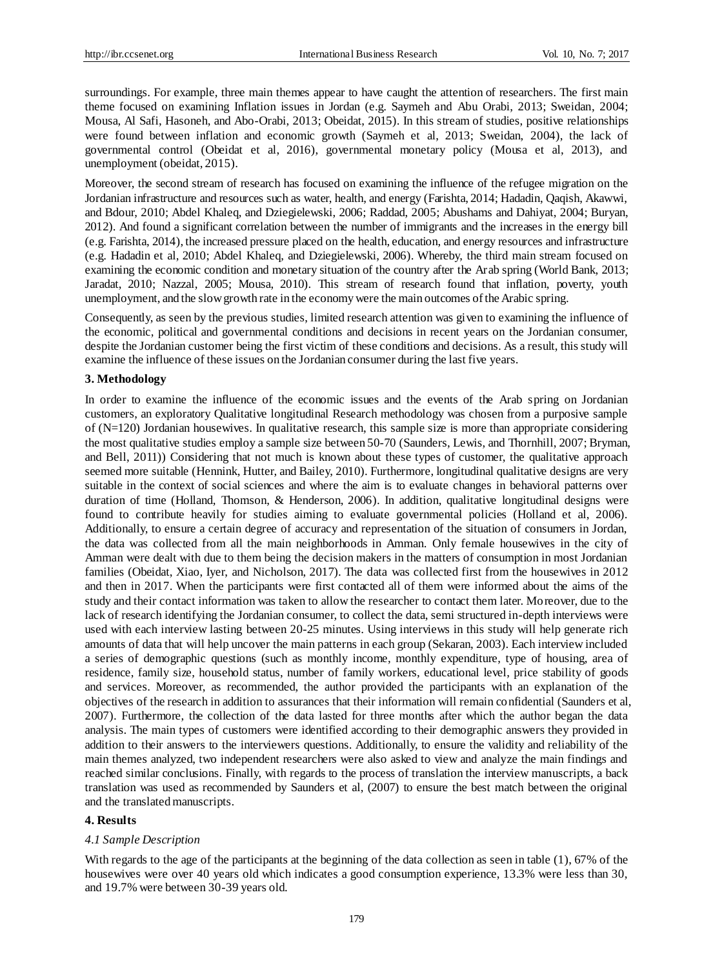surroundings. For example, three main themes appear to have caught the attention of researchers. The first main theme focused on examining Inflation issues in Jordan (e.g. Saymeh and Abu Orabi, 2013; Sweidan, 2004; Mousa, Al Safi, Hasoneh, and Abo-Orabi, 2013; Obeidat, 2015). In this stream of studies, positive relationships were found between inflation and economic growth (Saymeh et al, 2013; Sweidan, 2004), the lack of governmental control (Obeidat et al, 2016), governmental monetary policy (Mousa et al, 2013), and unemployment (obeidat, 2015).

Moreover, the second stream of research has focused on examining the influence of the refugee migration on the Jordanian infrastructure and resources such as water, health, and energy (Farishta, 2014; Hadadin, Qaqish, Akawwi, and Bdour, 2010; Abdel Khaleq, and Dziegielewski, 2006; Raddad, 2005; Abushams and Dahiyat, 2004; Buryan, 2012). And found a significant correlation between the number of immigrants and the increases in the energy bill (e.g. Farishta, 2014), the increased pressure placed on the health, education, and energy resources and infrastructure (e.g. Hadadin et al, 2010; Abdel Khaleq, and Dziegielewski, 2006). Whereby, the third main stream focused on examining the economic condition and monetary situation of the country after the Arab spring (World Bank, 2013; Jaradat, 2010; Nazzal, 2005; Mousa, 2010). This stream of research found that inflation, poverty, youth unemployment, and the slow growth rate in the economy were the main outcomes of the Arabic spring.

Consequently, as seen by the previous studies, limited research attention was given to examining the influence of the economic, political and governmental conditions and decisions in recent years on the Jordanian consumer, despite the Jordanian customer being the first victim of these conditions and decisions. As a result, this study will examine the influence of these issues on the Jordanian consumer during the last five years.

#### **3. Methodology**

In order to examine the influence of the economic issues and the events of the Arab spring on Jordanian customers, an exploratory Qualitative longitudinal Research methodology was chosen from a purposive sample of (N=120) Jordanian housewives. In qualitative research, this sample size is more than appropriate considering the most qualitative studies employ a sample size between 50-70 (Saunders, Lewis, and Thornhill, 2007; Bryman, and Bell, 2011)) Considering that not much is known about these types of customer, the qualitative approach seemed more suitable (Hennink, Hutter, and Bailey, 2010). Furthermore, longitudinal qualitative designs are very suitable in the context of social sciences and where the aim is to evaluate changes in behavioral patterns over duration of time (Holland, Thomson, & Henderson, 2006). In addition, qualitative longitudinal designs were found to contribute heavily for studies aiming to evaluate governmental policies (Holland et al, 2006). Additionally, to ensure a certain degree of accuracy and representation of the situation of consumers in Jordan, the data was collected from all the main neighborhoods in Amman. Only female housewives in the city of Amman were dealt with due to them being the decision makers in the matters of consumption in most Jordanian families (Obeidat, Xiao, Iyer, and Nicholson, 2017). The data was collected first from the housewives in 2012 and then in 2017. When the participants were first contacted all of them were informed about the aims of the study and their contact information was taken to allow the researcher to contact them later. Moreover, due to the lack of research identifying the Jordanian consumer, to collect the data, semi structured in-depth interviews were used with each interview lasting between 20-25 minutes. Using interviews in this study will help generate rich amounts of data that will help uncover the main patterns in each group (Sekaran, 2003). Each interview included a series of demographic questions (such as monthly income, monthly expenditure, type of housing, area of residence, family size, household status, number of family workers, educational level, price stability of goods and services. Moreover, as recommended, the author provided the participants with an explanation of the objectives of the research in addition to assurances that their information will remain confidential (Saunders et al, 2007). Furthermore, the collection of the data lasted for three months after which the author began the data analysis. The main types of customers were identified according to their demographic answers they provided in addition to their answers to the interviewers questions. Additionally, to ensure the validity and reliability of the main themes analyzed, two independent researchers were also asked to view and analyze the main findings and reached similar conclusions. Finally, with regards to the process of translation the interview manuscripts, a back translation was used as recommended by Saunders et al, (2007) to ensure the best match between the original and the translated manuscripts.

#### **4. Results**

# *4.1 Sample Description*

With regards to the age of the participants at the beginning of the data collection as seen in table (1), 67% of the housewives were over 40 years old which indicates a good consumption experience, 13.3% were less than 30, and 19.7% were between 30-39 years old.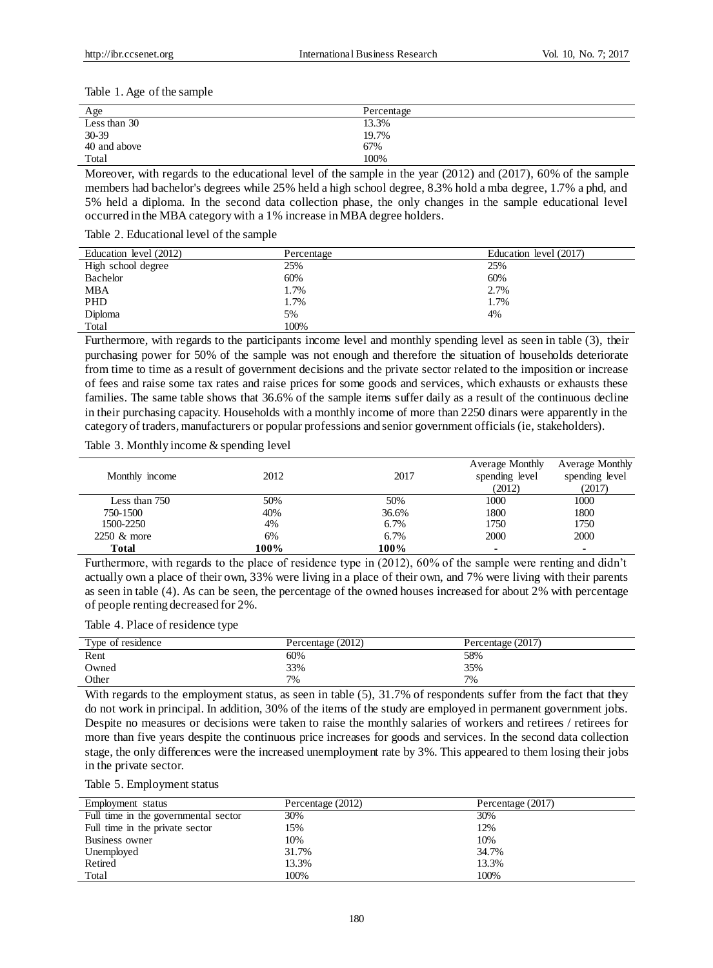| Table 1. Age of the sample |            |  |
|----------------------------|------------|--|
| Age                        | Percentage |  |
| Less than 30               | 13.3%      |  |
| $30-39$                    | 19.7%      |  |
| 40 and above               | 67%        |  |
| Total                      | 100%       |  |

Moreover, with regards to the educational level of the sample in the year (2012) and (2017), 60% of the sample members had bachelor's degrees while 25% held a high school degree, 8.3% hold a mba degree, 1.7% a phd, and 5% held a diploma. In the second data collection phase, the only changes in the sample educational level occurred in the MBA category with a 1% increase in MBA degree holders.

Table 2. Educational level of the sample

| Education level (2012) | Percentage | Education level (2017) |
|------------------------|------------|------------------------|
| High school degree     | 25%        | 25%                    |
| Bachelor               | 60%        | 60%                    |
| MBA                    | 1.7%       | 2.7%                   |
| PHD                    | 1.7%       | 1.7%                   |
| Diploma                | 5%         | 4%                     |
| Total                  | 100%       |                        |

Furthermore, with regards to the participants income level and monthly spending level as seen in table (3), their purchasing power for 50% of the sample was not enough and therefore the situation of households deteriorate from time to time as a result of government decisions and the private sector related to the imposition or increase of fees and raise some tax rates and raise prices for some goods and services, which exhausts or exhausts these families. The same table shows that 36.6% of the sample items suffer daily as a result of the continuous decline in their purchasing capacity. Households with a monthly income of more than 2250 dinars were apparently in the category of traders, manufacturers or popular professions and senior government officials (ie, stakeholders).

Table 3. Monthly income & spending level

| Monthly income | 2012 | 2017  | Average Monthly<br>spending level | Average Monthly<br>spending level |
|----------------|------|-------|-----------------------------------|-----------------------------------|
|                |      |       | (2012)                            | (2017)                            |
| Less than 750  | 50%  | 50%   | 1000                              | 1000                              |
| 750-1500       | 40%  | 36.6% | 1800                              | 1800                              |
| 1500-2250      | 4%   | 6.7%  | 1750                              | 1750                              |
| 2250 & more    | 6%   | 6.7%  | 2000                              | 2000                              |
| <b>Total</b>   | 100% | 100%  |                                   | $\blacksquare$                    |

Furthermore, with regards to the place of residence type in (2012), 60% of the sample were renting and didn't actually own a place of their own, 33% were living in a place of their own, and 7% were living with their parents as seen in table (4). As can be seen, the percentage of the owned houses increased for about 2% with percentage of people renting decreased for 2%.

Table 4. Place of residence type

| Type of residence | Percentage (2012) | Percentage (2017) |
|-------------------|-------------------|-------------------|
| Rent              | 60%               | 58%               |
| Owned             | 33%               | 35%               |
| Other             | 7%                | 7%                |

With regards to the employment status, as seen in table (5), 31.7% of respondents suffer from the fact that they do not work in principal. In addition, 30% of the items of the study are employed in permanent government jobs. Despite no measures or decisions were taken to raise the monthly salaries of workers and retirees / retirees for more than five years despite the continuous price increases for goods and services. In the second data collection stage, the only differences were the increased unemployment rate by 3%. This appeared to them losing their jobs in the private sector.

Table 5. Employment status

| Employment status                    | Percentage (2012) | Percentage (2017) |
|--------------------------------------|-------------------|-------------------|
| Full time in the governmental sector | 30%               | 30%               |
| Full time in the private sector      | 15%               | 12%               |
| Business owner                       | 10%               | 10%               |
| Unemployed                           | 31.7%             | 34.7%             |
| Retired                              | 13.3%             | 13.3%             |
| Total                                | 100%              | 100%              |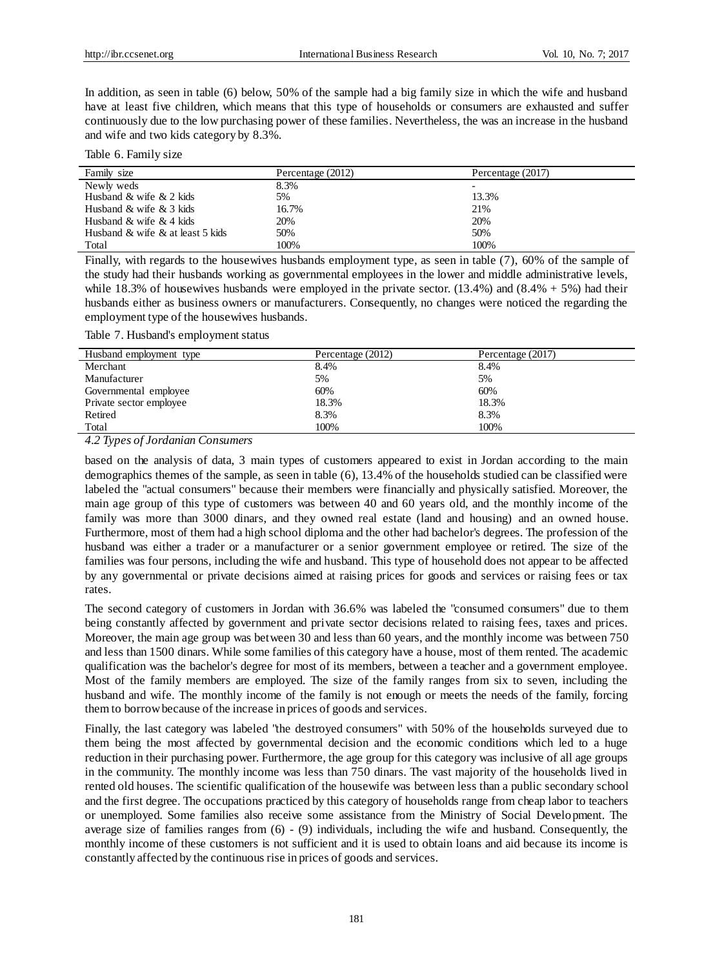In addition, as seen in table (6) below, 50% of the sample had a big family size in which the wife and husband have at least five children, which means that this type of households or consumers are exhausted and suffer continuously due to the low purchasing power of these families. Nevertheless, the was an increase in the husband and wife and two kids category by 8.3%.

Table 6. Family size

| Family size                      | Percentage (2012) | Percentage (2017) |
|----------------------------------|-------------------|-------------------|
| Newly weds                       | 8.3%              |                   |
| Husband $&$ wife $&$ 2 kids      | 5%                | 13.3%             |
| Husband $&$ wife $&$ 3 kids      | 16.7%             | 21%               |
| Husband $&$ wife $&$ 4 kids      | 20%               | 20%               |
| Husband & wife & at least 5 kids | 50%               | 50%               |
| Total                            | 100%              | 100%              |

Finally, with regards to the housewives husbands employment type, as seen in table (7), 60% of the sample of the study had their husbands working as governmental employees in the lower and middle administrative levels, while 18.3% of housewives husbands were employed in the private sector.  $(13.4\%)$  and  $(8.4\% + 5\%)$  had their husbands either as business owners or manufacturers. Consequently, no changes were noticed the regarding the employment type of the housewives husbands.

Table 7. Husband's employment status

| Husband employment type | Percentage (2012) | Percentage (2017) |
|-------------------------|-------------------|-------------------|
| Merchant                | 8.4%              | 8.4%              |
| Manufacturer            | 5%                | 5%                |
| Governmental employee   | 60%               | 60%               |
| Private sector employee | 18.3%             | 18.3%             |
| Retired                 | 8.3%              | 8.3%              |
| Total                   | 100%              | 100%              |

*4.2 Types of Jordanian Consumers*

based on the analysis of data, 3 main types of customers appeared to exist in Jordan according to the main demographics themes of the sample, as seen in table (6), 13.4% of the households studied can be classified were labeled the "actual consumers" because their members were financially and physically satisfied. Moreover, the main age group of this type of customers was between 40 and 60 years old, and the monthly income of the family was more than 3000 dinars, and they owned real estate (land and housing) and an owned house. Furthermore, most of them had a high school diploma and the other had bachelor's degrees. The profession of the husband was either a trader or a manufacturer or a senior government employee or retired. The size of the families was four persons, including the wife and husband. This type of household does not appear to be affected by any governmental or private decisions aimed at raising prices for goods and services or raising fees or tax rates.

The second category of customers in Jordan with 36.6% was labeled the "consumed consumers" due to them being constantly affected by government and private sector decisions related to raising fees, taxes and prices. Moreover, the main age group was between 30 and less than 60 years, and the monthly income was between 750 and less than 1500 dinars. While some families of this category have a house, most of them rented. The academic qualification was the bachelor's degree for most of its members, between a teacher and a government employee. Most of the family members are employed. The size of the family ranges from six to seven, including the husband and wife. The monthly income of the family is not enough or meets the needs of the family, forcing them to borrow because of the increase in prices of goods and services.

Finally, the last category was labeled "the destroyed consumers" with 50% of the households surveyed due to them being the most affected by governmental decision and the economic conditions which led to a huge reduction in their purchasing power. Furthermore, the age group for this category was inclusive of all age groups in the community. The monthly income was less than 750 dinars. The vast majority of the households lived in rented old houses. The scientific qualification of the housewife was between less than a public secondary school and the first degree. The occupations practiced by this category of households range from cheap labor to teachers or unemployed. Some families also receive some assistance from the Ministry of Social Development. The average size of families ranges from (6) - (9) individuals, including the wife and husband. Consequently, the monthly income of these customers is not sufficient and it is used to obtain loans and aid because its income is constantly affected by the continuous rise in prices of goods and services.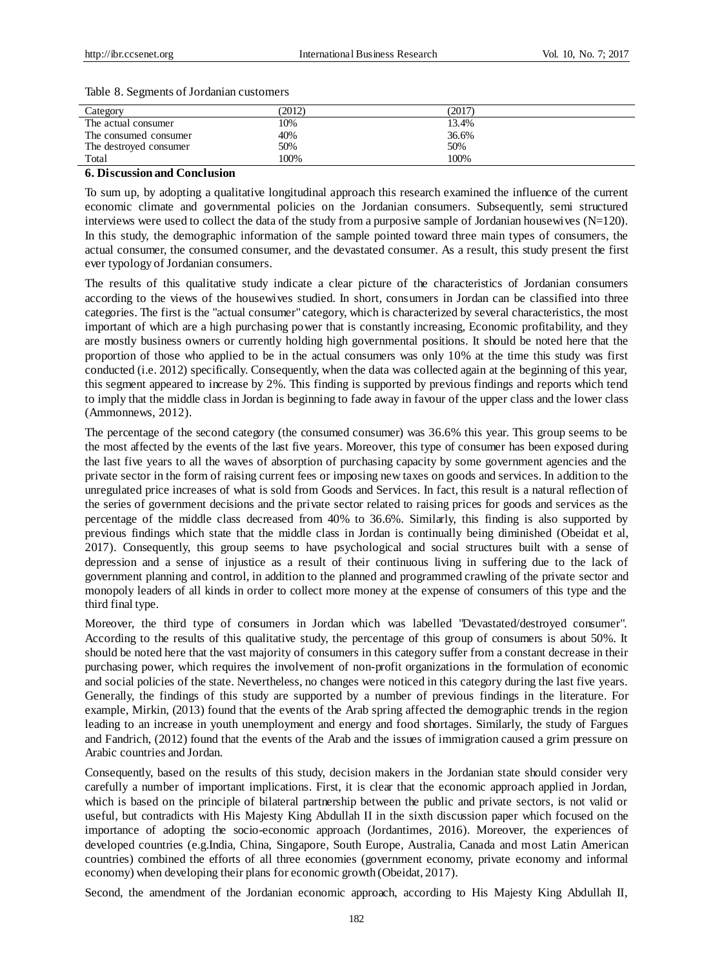| Category               | (2012) | (2017) |
|------------------------|--------|--------|
| The actual consumer    | 10%    | 13.4%  |
| The consumed consumer  | 40%    | 36.6%  |
| The destroyed consumer | 50%    | 50%    |
| Total                  | 100%   | 100%   |

#### Table 8. Segments of Jordanian customers

# **6. Discussion and Conclusion**

To sum up, by adopting a qualitative longitudinal approach this research examined the influence of the current economic climate and governmental policies on the Jordanian consumers. Subsequently, semi structured interviews were used to collect the data of the study from a purposive sample of Jordanian housewives (N=120). In this study, the demographic information of the sample pointed toward three main types of consumers, the actual consumer, the consumed consumer, and the devastated consumer. As a result, this study present the first ever typology of Jordanian consumers.

The results of this qualitative study indicate a clear picture of the characteristics of Jordanian consumers according to the views of the housewives studied. In short, consumers in Jordan can be classified into three categories. The first is the "actual consumer" category, which is characterized by several characteristics, the most important of which are a high purchasing power that is constantly increasing, Economic profitability, and they are mostly business owners or currently holding high governmental positions. It should be noted here that the proportion of those who applied to be in the actual consumers was only 10% at the time this study was first conducted (i.e. 2012) specifically. Consequently, when the data was collected again at the beginning of this year, this segment appeared to increase by 2%. This finding is supported by previous findings and reports which tend to imply that the middle class in Jordan is beginning to fade away in favour of the upper class and the lower class (Ammonnews, 2012).

The percentage of the second category (the consumed consumer) was 36.6% this year. This group seems to be the most affected by the events of the last five years. Moreover, this type of consumer has been exposed during the last five years to all the waves of absorption of purchasing capacity by some government agencies and the private sector in the form of raising current fees or imposing new taxes on goods and services. In addition to the unregulated price increases of what is sold from Goods and Services. In fact, this result is a natural reflection of the series of government decisions and the private sector related to raising prices for goods and services as the percentage of the middle class decreased from 40% to 36.6%. Similarly, this finding is also supported by previous findings which state that the middle class in Jordan is continually being diminished (Obeidat et al, 2017). Consequently, this group seems to have psychological and social structures built with a sense of depression and a sense of injustice as a result of their continuous living in suffering due to the lack of government planning and control, in addition to the planned and programmed crawling of the private sector and monopoly leaders of all kinds in order to collect more money at the expense of consumers of this type and the third final type.

Moreover, the third type of consumers in Jordan which was labelled "Devastated/destroyed consumer". According to the results of this qualitative study, the percentage of this group of consumers is about 50%. It should be noted here that the vast majority of consumers in this category suffer from a constant decrease in their purchasing power, which requires the involvement of non-profit organizations in the formulation of economic and social policies of the state. Nevertheless, no changes were noticed in this category during the last five years. Generally, the findings of this study are supported by a number of previous findings in the literature. For example, Mirkin, (2013) found that the events of the Arab spring affected the demographic trends in the region leading to an increase in youth unemployment and energy and food shortages. Similarly, the study of Fargues and Fandrich, (2012) found that the events of the Arab and the issues of immigration caused a grim pressure on Arabic countries and Jordan.

Consequently, based on the results of this study, decision makers in the Jordanian state should consider very carefully a number of important implications. First, it is clear that the economic approach applied in Jordan, which is based on the principle of bilateral partnership between the public and private sectors, is not valid or useful, but contradicts with His Majesty King Abdullah II in the sixth discussion paper which focused on the importance of adopting the socio-economic approach (Jordantimes, 2016). Moreover, the experiences of developed countries (e.g.India, China, Singapore, South Europe, Australia, Canada and most Latin American countries) combined the efforts of all three economies (government economy, private economy and informal economy) when developing their plans for economic growth (Obeidat, 2017).

Second, the amendment of the Jordanian economic approach, according to His Majesty King Abdullah II,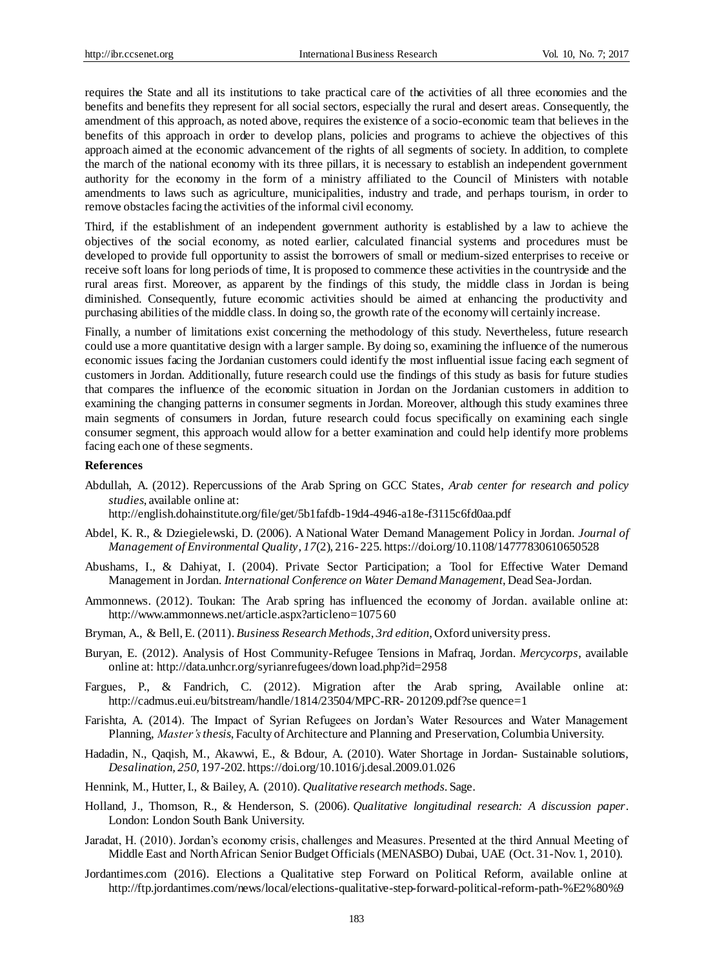requires the State and all its institutions to take practical care of the activities of all three economies and the benefits and benefits they represent for all social sectors, especially the rural and desert areas. Consequently, the amendment of this approach, as noted above, requires the existence of a socio-economic team that believes in the benefits of this approach in order to develop plans, policies and programs to achieve the objectives of this approach aimed at the economic advancement of the rights of all segments of society. In addition, to complete the march of the national economy with its three pillars, it is necessary to establish an independent government authority for the economy in the form of a ministry affiliated to the Council of Ministers with notable amendments to laws such as agriculture, municipalities, industry and trade, and perhaps tourism, in order to remove obstacles facing the activities of the informal civil economy.

Third, if the establishment of an independent government authority is established by a law to achieve the objectives of the social economy, as noted earlier, calculated financial systems and procedures must be developed to provide full opportunity to assist the borrowers of small or medium-sized enterprises to receive or receive soft loans for long periods of time, It is proposed to commence these activities in the countryside and the rural areas first. Moreover, as apparent by the findings of this study, the middle class in Jordan is being diminished. Consequently, future economic activities should be aimed at enhancing the productivity and purchasing abilities of the middle class. In doing so, the growth rate of the economy will certainly increase.

Finally, a number of limitations exist concerning the methodology of this study. Nevertheless, future research could use a more quantitative design with a larger sample. By doing so, examining the influence of the numerous economic issues facing the Jordanian customers could identify the most influential issue facing each segment of customers in Jordan. Additionally, future research could use the findings of this study as basis for future studies that compares the influence of the economic situation in Jordan on the Jordanian customers in addition to examining the changing patterns in consumer segments in Jordan. Moreover, although this study examines three main segments of consumers in Jordan, future research could focus specifically on examining each single consumer segment, this approach would allow for a better examination and could help identify more problems facing each one of these segments.

#### **References**

Abdullah, A. (2012). Repercussions of the Arab Spring on GCC States, *Arab center for research and policy studies*, available online at:

<http://english.dohainstitute.org/file/get/5b1fafdb-19d4-4946-a18e-f3115c6fd0aa.pdf>

- Abdel, K. R., & Dziegielewski, D. (2006). A National Water Demand Management Policy in Jordan. *Journal of Management of Environmental Quality, 17*(2), 216- 225. https://doi.org/10.1108/14777830610650528
- Abushams, I., & Dahiyat, I. (2004). Private Sector Participation; a Tool for Effective Water Demand Management in Jordan. *International Conference on Water Demand Management*, Dead Sea-Jordan.
- Ammonnews. (2012). Toukan: The Arab spring has influenced the economy of Jordan. available online at: http://www.ammonnews.net/article.aspx?articleno=1075 60
- Bryman, A., & Bell, E. (2011). *Business Research Methods, 3rd edition*, Oxford university press.
- Buryan, E. (2012). Analysis of Host Community-Refugee Tensions in Mafraq, Jordan. *Mercycorps*, available online at: http://data.unhcr.org/syrianrefugees/down load.php?id=2958
- Fargues, P., & Fandrich, C. (2012). Migration after the Arab spring, Available online at: <http://cadmus.eui.eu/bitstream/handle/1814/23504/MPC-RR-> 201209.pdf?se quence=1
- Farishta, A. (2014). The Impact of Syrian Refugees on Jordan's Water Resources and Water Management Planning, *Master'sthesis*, Faculty of Architecture and Planning and Preservation, Columbia University.
- Hadadin, N., Qaqish, M., Akawwi, E., & Bdour, A. (2010). Water Shortage in Jordan- Sustainable solutions, *Desalination, 250,* 197-202. https://doi.org/10.1016/j.desal.2009.01.026
- Hennink, M., Hutter, I., & Bailey, A. (2010). *Qualitative research methods*. Sage.
- Holland, J., Thomson, R., & Henderson, S. (2006). *Qualitative longitudinal research: A discussion paper*. London: London South Bank University.
- Jaradat, H. (2010). Jordan's economy crisis, challenges and Measures. Presented at the third Annual Meeting of Middle East and North African Senior Budget Officials (MENASBO) Dubai, UAE (Oct. 31-Nov. 1, 2010).
- Jordantimes.com (2016). Elections a Qualitative step Forward on Political Reform, available online at [http://ftp.jordantimes.com/news/local/elections-qualitative-step-forward-political-reform-path-%E2%80%9](http://ftp.jordantimes.com/news/local/elections-qualitative-step-forward-political-reform-path-%E2%80%94-king)